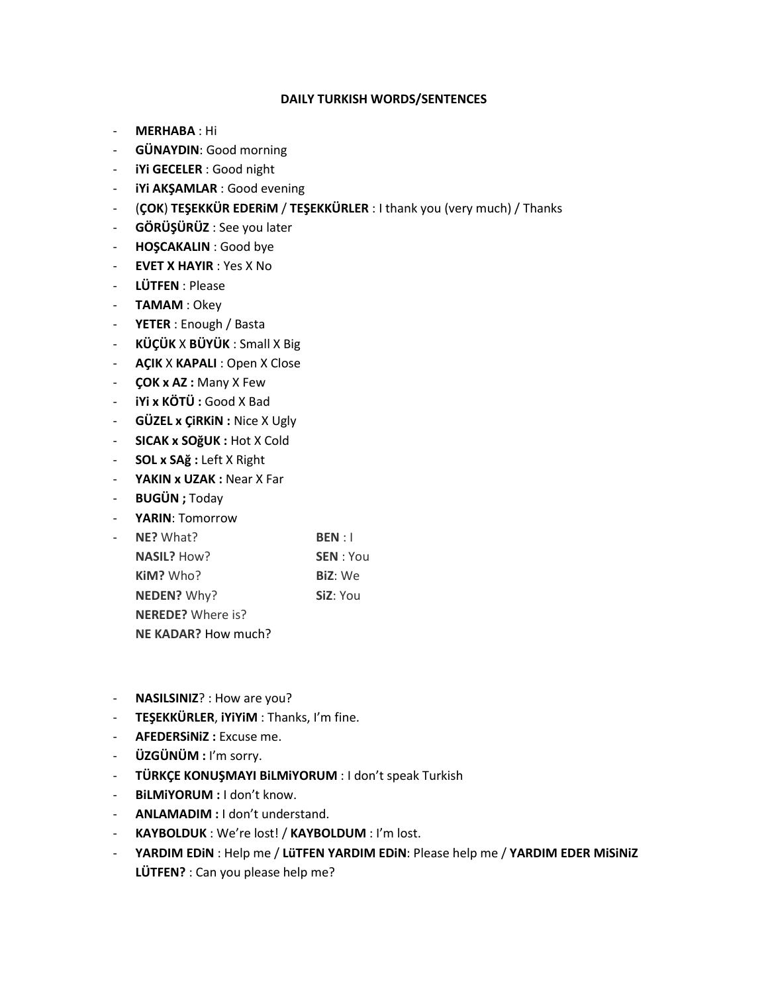## **DAILY TURKISH WORDS/SENTENCES**

- **MERHABA** : Hi
- **GÜNAYDIN**: Good morning
- **iYi GECELER** : Good night
- **iYi AKŞAMLAR** : Good evening
- (**ÇOK**) **TEŞEKKÜR EDERiM** / **TEŞEKKÜRLER** : I thank you (very much) / Thanks
- **GÖRÜŞÜRÜZ** : See you later
- **HOŞCAKALIN** : Good bye
- **EVET X HAYIR** : Yes X No
- **LÜTFEN** : Please
- **TAMAM** : Okey
- **YETER** : Enough / Basta
- **KÜÇÜK** X **BÜYÜK** : Small X Big
- **AÇIK** X **KAPALI** : Open X Close
- **ÇOK x AZ :** Many X Few
- **iYi x KÖTÜ :** Good X Bad
- **GÜZEL x ÇiRKiN :** Nice X Ugly
- **SICAK x SOğUK :** Hot X Cold
- **SOL x SAğ :** Left X Right
- **YAKIN x UZAK :** Near X Far
- **BUGÜN ;** Today
- **YARIN**: Tomorrow

| NE? What?                  | BEN:1            |
|----------------------------|------------------|
| NASIL? How?                | <b>SEN</b> : You |
| Kim? Who?                  | <b>BiZ:</b> We   |
| NEDEN? Why?                | SiZ: You         |
| <b>NEREDE?</b> Where is?   |                  |
| <b>NE KADAR?</b> How much? |                  |

- **NASILSINIZ**? : How are you?
- **TEŞEKKÜRLER**, **iYiYiM** : Thanks, I'm fine.
- **AFEDERSiNiZ :** Excuse me.
- **ÜZGÜNÜM :** I'm sorry.
- **TÜRKÇE KONUŞMAYI BiLMiYORUM** : I don't speak Turkish
- **BiLMiYORUM :** I don't know.
- **ANLAMADIM :** I don't understand.
- **KAYBOLDUK** : We're lost! / **KAYBOLDUM** : I'm lost.
- **YARDIM EDiN** : Help me / **LüTFEN YARDIM EDiN**: Please help me / **YARDIM EDER MiSiNiZ LÜTFEN?** : Can you please help me?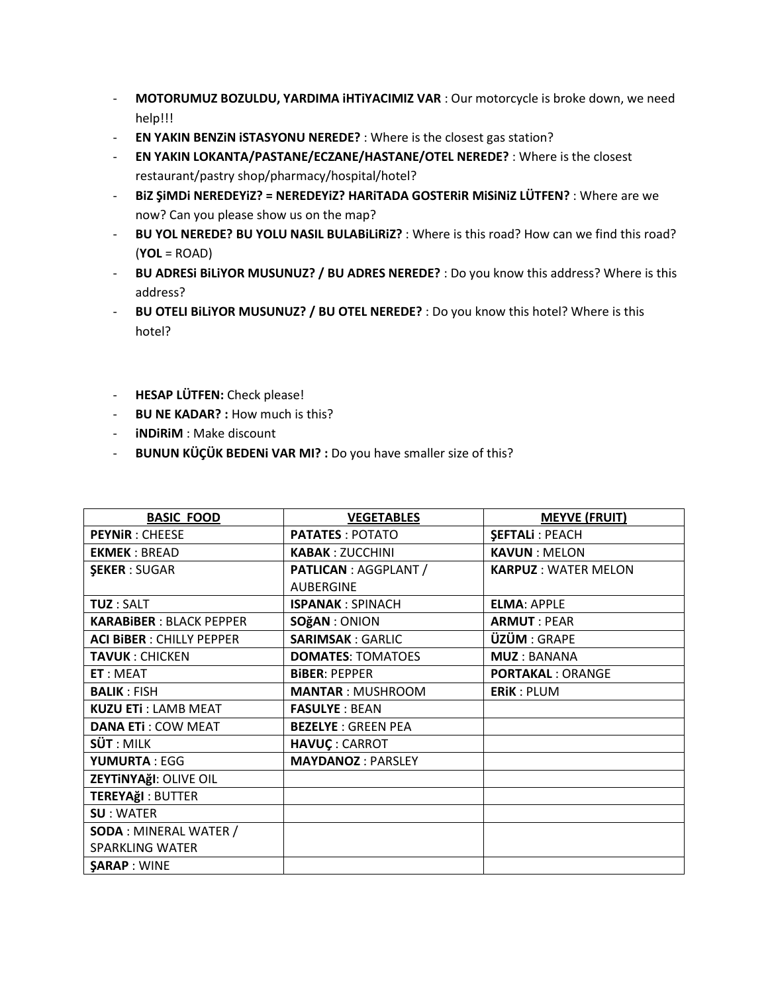- **MOTORUMUZ BOZULDU, YARDIMA iHTiYACIMIZ VAR** : Our motorcycle is broke down, we need help!!!
- **EN YAKIN BENZiN iSTASYONU NEREDE?** : Where is the closest gas station?
- **EN YAKIN LOKANTA/PASTANE/ECZANE/HASTANE/OTEL NEREDE?** : Where is the closest restaurant/pastry shop/pharmacy/hospital/hotel?
- **BiZ ŞiMDi NEREDEYiZ? = NEREDEYiZ? HARiTADA GOSTERiR MiSiNiZ LÜTFEN?** : Where are we now? Can you please show us on the map?
- **BU YOL NEREDE? BU YOLU NASIL BULABiLiRiZ?** : Where is this road? How can we find this road? (**YOL** = ROAD)
- **BU ADRESi BiLiYOR MUSUNUZ? / BU ADRES NEREDE?** : Do you know this address? Where is this address?
- **BU OTELI BiLiYOR MUSUNUZ? / BU OTEL NEREDE?** : Do you know this hotel? Where is this hotel?
- **HESAP LÜTFEN:** Check please!
- **BU NE KADAR? :** How much is this?
- **iNDiRiM** : Make discount
- **BUNUN KÜÇÜK BEDENi VAR MI? :** Do you have smaller size of this?

| <b>BASIC FOOD</b>                            | <b>VEGETABLES</b>         | <b>MEYVE (FRUIT)</b>       |
|----------------------------------------------|---------------------------|----------------------------|
| <b>PEYNIR: CHEESE</b>                        | <b>PATATES: POTATO</b>    | <b>SEFTALI: PEACH</b>      |
| <b>EKMEK: BREAD</b>                          | <b>KABAK: ZUCCHINI</b>    | <b>KAVUN: MELON</b>        |
| <b>ŞEKER: SUGAR</b>                          | PATLICAN : AGGPLANT /     | <b>KARPUZ: WATER MELON</b> |
|                                              | <b>AUBERGINE</b>          |                            |
| <b>TUZ: SALT</b>                             | <b>ISPANAK: SPINACH</b>   | <b>ELMA: APPLE</b>         |
| <b>KARABIBER: BLACK PEPPER</b>               | SOğAN : ONION             | <b>ARMUT: PEAR</b>         |
| <b>ACI BIBER: CHILLY PEPPER</b>              | <b>SARIMSAK: GARLIC</b>   | <b>ÜZÜM: GRAPE</b>         |
| <b>TAVUK: CHICKEN</b>                        | <b>DOMATES: TOMATOES</b>  | <b>MUZ: BANANA</b>         |
| ET: MEAT                                     | <b>BIBER: PEPPER</b>      | <b>PORTAKAL: ORANGE</b>    |
| <b>BALIK: FISH</b>                           | <b>MANTAR: MUSHROOM</b>   | <b>ERIK: PLUM</b>          |
| <b>KUZU ETi: LAMB MEAT</b>                   | <b>FASULYE: BEAN</b>      |                            |
| <b>DANA ETI: COW MEAT</b>                    | <b>BEZELYE: GREEN PEA</b> |                            |
| $S\ddot{\mathbf{U}}\mathbf{T}:\mathsf{MILK}$ | <b>HAVUÇ: CARROT</b>      |                            |
| <b>YUMURTA: EGG</b>                          | <b>MAYDANOZ: PARSLEY</b>  |                            |
| ZEYTINYAğI: OLIVE OIL                        |                           |                            |
| <b>TEREYAğl: BUTTER</b>                      |                           |                            |
| <b>SU: WATER</b>                             |                           |                            |
| <b>SODA: MINERAL WATER /</b>                 |                           |                            |
| <b>SPARKLING WATER</b>                       |                           |                            |
| <b>SARAP: WINE</b>                           |                           |                            |